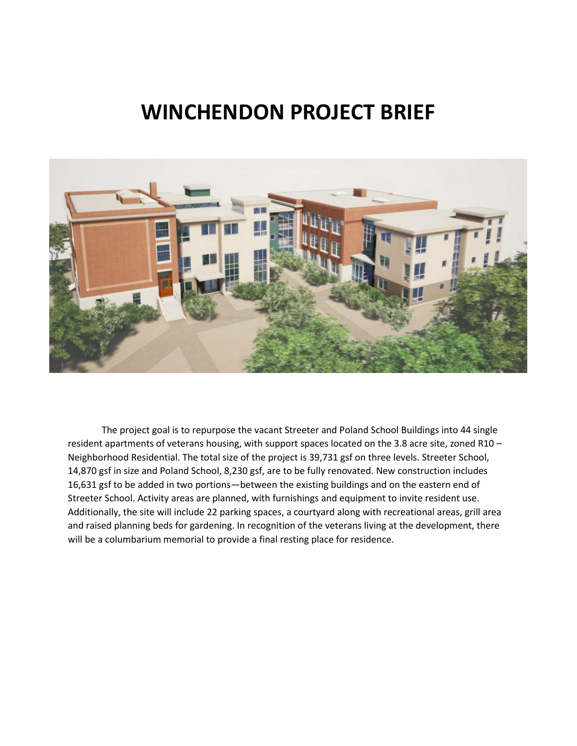## **WINCHENDON PROJECT BRIEF**



The project goal is to repurpose the vacant Streeter and Poland School Buildings into 44 single resident apartments of veterans housing, with support spaces located on the 3.8 acre site, zoned R10 – Neighborhood Residential. The total size of the project is 39,731 gsf on three levels. Streeter School, 14,870 gsf in size and Poland School, 8,230 gsf, are to be fully renovated. New construction includes 16,631 gsf to be added in two portions—between the existing buildings and on the eastern end of Streeter School. Activity areas are planned, with furnishings and equipment to invite resident use. Additionally, the site will include 22 parking spaces, a courtyard along with recreational areas, grill area and raised planning beds for gardening. In recognition of the veterans living at the development, there will be a columbarium memorial to provide a final resting place for residence.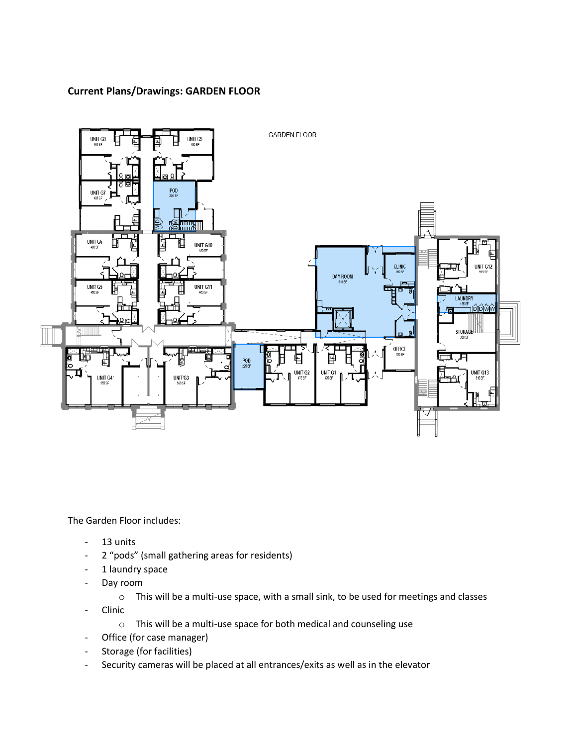## **Current Plans/Drawings: GARDEN FLOOR**



The Garden Floor includes:

- 13 units
- 2 "pods" (small gathering areas for residents)
- 1 laundry space
- Day room
	- o This will be a multi-use space, with a small sink, to be used for meetings and classes
- Clinic
	- o This will be a multi-use space for both medical and counseling use
- Office (for case manager)
- Storage (for facilities)
- Security cameras will be placed at all entrances/exits as well as in the elevator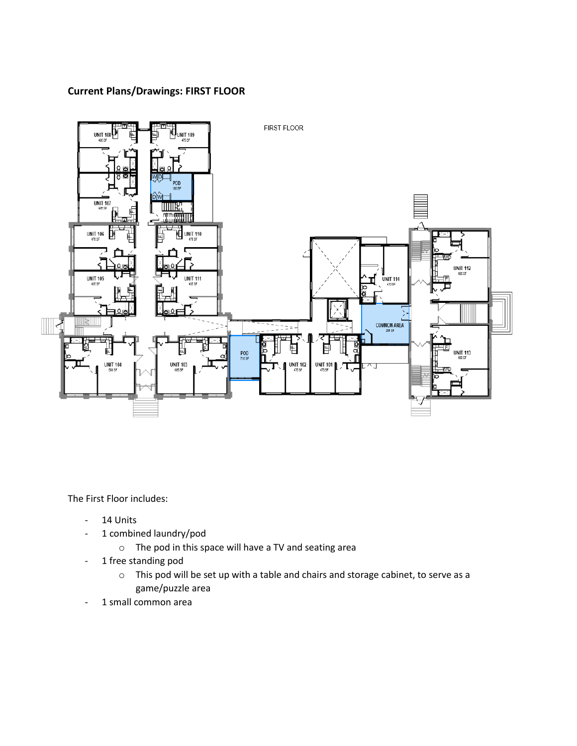## **Current Plans/Drawings: FIRST FLOOR**



The First Floor includes:

- 14 Units
- 1 combined laundry/pod
	- o The pod in this space will have a TV and seating area
- 1 free standing pod
	- o This pod will be set up with a table and chairs and storage cabinet, to serve as a game/puzzle area
- 1 small common area